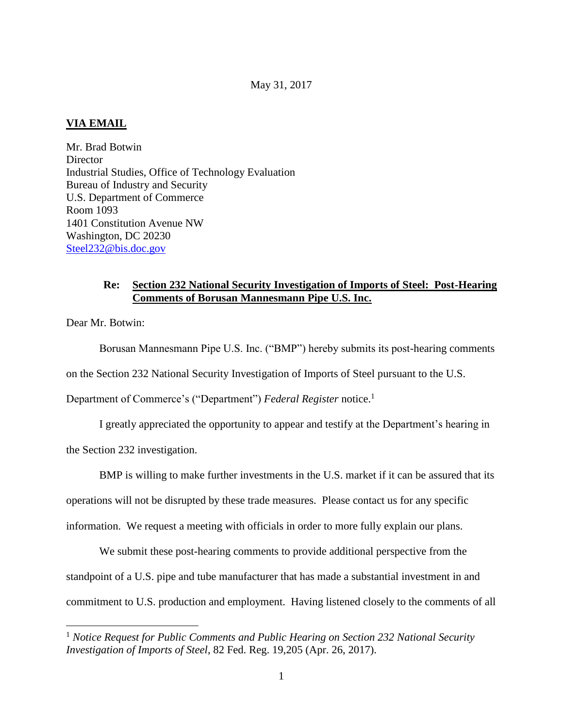## **VIA EMAIL**

Mr. Brad Botwin **Director** Industrial Studies, Office of Technology Evaluation Bureau of Industry and Security U.S. Department of Commerce Room 1093 1401 Constitution Avenue NW Washington, DC 20230 Steel232@bis.doc.gov

### **Re: Section 232 National Security Investigation of Imports of Steel: Post-Hearing Comments of Borusan Mannesmann Pipe U.S. Inc.**

Dear Mr. Botwin:

 $\overline{a}$ 

Borusan Mannesmann Pipe U.S. Inc. ("BMP") hereby submits its post-hearing comments

on the Section 232 National Security Investigation of Imports of Steel pursuant to the U.S.

Department of Commerce's ("Department") *Federal Register* notice.<sup>1</sup>

I greatly appreciated the opportunity to appear and testify at the Department's hearing in

the Section 232 investigation.

BMP is willing to make further investments in the U.S. market if it can be assured that its

operations will not be disrupted by these trade measures. Please contact us for any specific

information. We request a meeting with officials in order to more fully explain our plans.

We submit these post-hearing comments to provide additional perspective from the standpoint of a U.S. pipe and tube manufacturer that has made a substantial investment in and commitment to U.S. production and employment. Having listened closely to the comments of all

<sup>1</sup> *Notice Request for Public Comments and Public Hearing on Section 232 National Security Investigation of Imports of Steel*, 82 Fed. Reg. 19,205 (Apr. 26, 2017).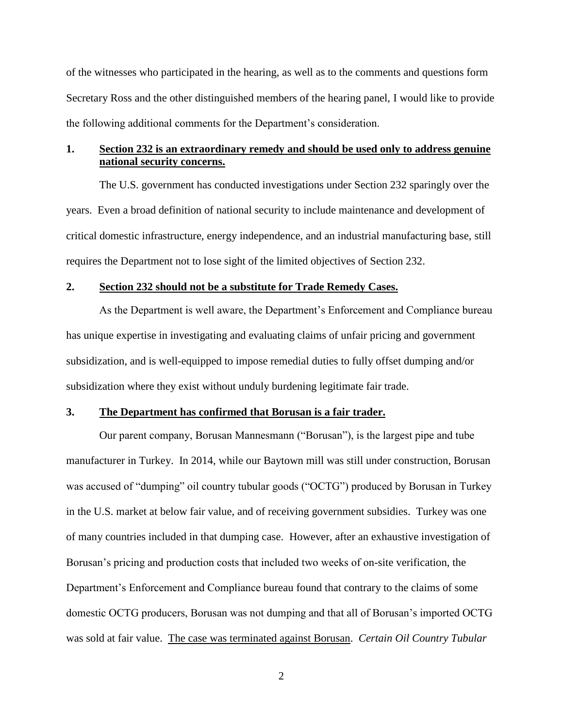of the witnesses who participated in the hearing, as well as to the comments and questions form Secretary Ross and the other distinguished members of the hearing panel, I would like to provide the following additional comments for the Department's consideration.

### **1. Section 232 is an extraordinary remedy and should be used only to address genuine national security concerns.**

The U.S. government has conducted investigations under Section 232 sparingly over the years. Even a broad definition of national security to include maintenance and development of critical domestic infrastructure, energy independence, and an industrial manufacturing base, still requires the Department not to lose sight of the limited objectives of Section 232.

#### **2. Section 232 should not be a substitute for Trade Remedy Cases.**

As the Department is well aware, the Department's Enforcement and Compliance bureau has unique expertise in investigating and evaluating claims of unfair pricing and government subsidization, and is well-equipped to impose remedial duties to fully offset dumping and/or subsidization where they exist without unduly burdening legitimate fair trade.

#### **3. The Department has confirmed that Borusan is a fair trader.**

Our parent company, Borusan Mannesmann ("Borusan"), is the largest pipe and tube manufacturer in Turkey. In 2014, while our Baytown mill was still under construction, Borusan was accused of "dumping" oil country tubular goods ("OCTG") produced by Borusan in Turkey in the U.S. market at below fair value, and of receiving government subsidies. Turkey was one of many countries included in that dumping case. However, after an exhaustive investigation of Borusan's pricing and production costs that included two weeks of on-site verification, the Department's Enforcement and Compliance bureau found that contrary to the claims of some domestic OCTG producers, Borusan was not dumping and that all of Borusan's imported OCTG was sold at fair value. The case was terminated against Borusan. *Certain Oil Country Tubular*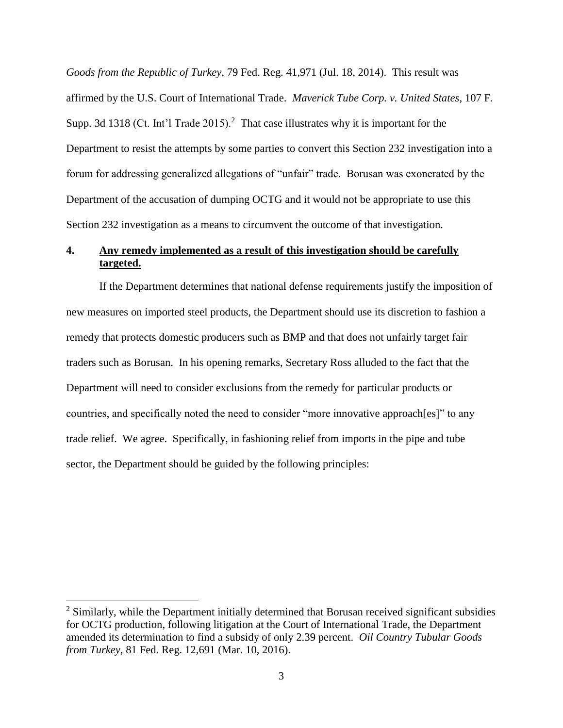*Goods from the Republic of Turkey*, 79 Fed. Reg. 41,971 (Jul. 18, 2014). This result was affirmed by the U.S. Court of International Trade. *Maverick Tube Corp. v. United States*, 107 F. Supp. 3d 1318 (Ct. Int'l Trade 2015).<sup>2</sup> That case illustrates why it is important for the Department to resist the attempts by some parties to convert this Section 232 investigation into a forum for addressing generalized allegations of "unfair" trade. Borusan was exonerated by the Department of the accusation of dumping OCTG and it would not be appropriate to use this Section 232 investigation as a means to circumvent the outcome of that investigation.

# **4. Any remedy implemented as a result of this investigation should be carefully targeted.**

If the Department determines that national defense requirements justify the imposition of new measures on imported steel products, the Department should use its discretion to fashion a remedy that protects domestic producers such as BMP and that does not unfairly target fair traders such as Borusan. In his opening remarks, Secretary Ross alluded to the fact that the Department will need to consider exclusions from the remedy for particular products or countries, and specifically noted the need to consider "more innovative approach[es]" to any trade relief. We agree. Specifically, in fashioning relief from imports in the pipe and tube sector, the Department should be guided by the following principles:

 $\overline{a}$ 

<sup>&</sup>lt;sup>2</sup> Similarly, while the Department initially determined that Borusan received significant subsidies for OCTG production, following litigation at the Court of International Trade, the Department amended its determination to find a subsidy of only 2.39 percent. *Oil Country Tubular Goods from Turkey*, 81 Fed. Reg. 12,691 (Mar. 10, 2016).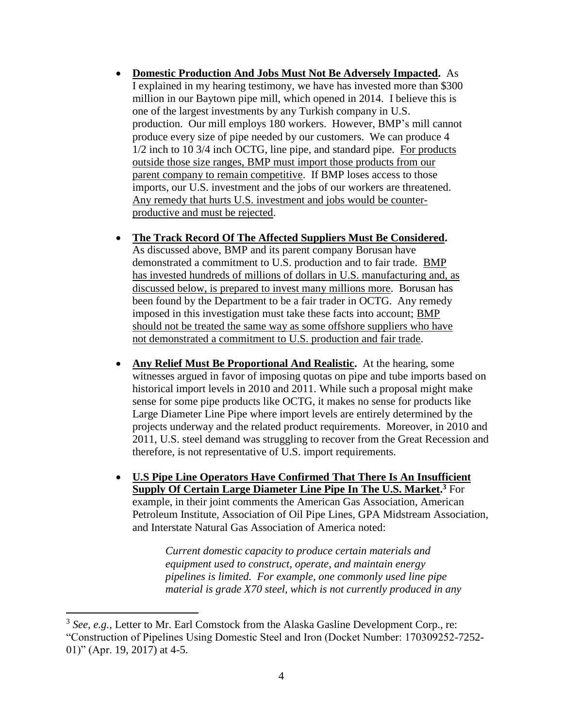- **Domestic Production And Jobs Must Not Be Adversely Impacted.** As I explained in my hearing testimony, we have has invested more than \$300 million in our Baytown pipe mill, which opened in 2014. I believe this is one of the largest investments by any Turkish company in U.S. production. Our mill employs 180 workers. However, BMP's mill cannot produce every size of pipe needed by our customers. We can produce 4 1/2 inch to 10 3/4 inch OCTG, line pipe, and standard pipe. For products outside those size ranges, BMP must import those products from our parent company to remain competitive. If BMP loses access to those imports, our U.S. investment and the jobs of our workers are threatened. Any remedy that hurts U.S. investment and jobs would be counterproductive and must be rejected.
- **The Track Record Of The Affected Suppliers Must Be Considered.** As discussed above, BMP and its parent company Borusan have demonstrated a commitment to U.S. production and to fair trade. BMP has invested hundreds of millions of dollars in U.S. manufacturing and, as discussed below, is prepared to invest many millions more. Borusan has been found by the Department to be a fair trader in OCTG. Any remedy imposed in this investigation must take these facts into account; BMP should not be treated the same way as some offshore suppliers who have not demonstrated a commitment to U.S. production and fair trade.
- **Any Relief Must Be Proportional And Realistic.** At the hearing, some witnesses argued in favor of imposing quotas on pipe and tube imports based on historical import levels in 2010 and 2011. While such a proposal might make sense for some pipe products like OCTG, it makes no sense for products like Large Diameter Line Pipe where import levels are entirely determined by the projects underway and the related product requirements. Moreover, in 2010 and 2011, U.S. steel demand was struggling to recover from the Great Recession and therefore, is not representative of U.S. import requirements.
- **U.S Pipe Line Operators Have Confirmed That There Is An Insufficient Supply Of Certain Large Diameter Line Pipe In The U.S. Market. <sup>3</sup>** For example, in their joint comments the American Gas Association, American Petroleum Institute, Association of Oil Pipe Lines, GPA Midstream Association, and Interstate Natural Gas Association of America noted:

*Current domestic capacity to produce certain materials and equipment used to construct, operate, and maintain energy pipelines is limited. For example, one commonly used line pipe material is grade X70 steel, which is not currently produced in any* 

 $\overline{a}$ 

<sup>&</sup>lt;sup>3</sup> See, e.g., Letter to Mr. Earl Comstock from the Alaska Gasline Development Corp., re: "Construction of Pipelines Using Domestic Steel and Iron (Docket Number: 170309252-7252- 01)" (Apr. 19, 2017) at 4-5.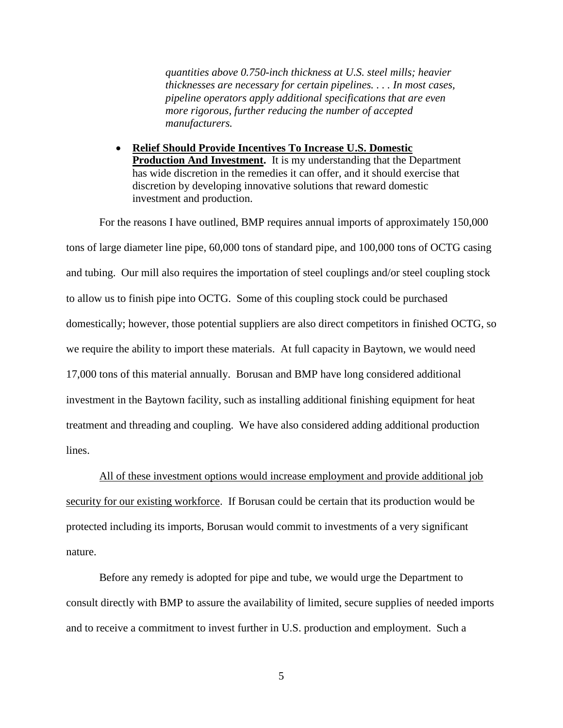*quantities above 0.750-inch thickness at U.S. steel mills; heavier thicknesses are necessary for certain pipelines. . . . In most cases, pipeline operators apply additional specifications that are even more rigorous, further reducing the number of accepted manufacturers.*

 **Relief Should Provide Incentives To Increase U.S. Domestic Production And Investment.** It is my understanding that the Department has wide discretion in the remedies it can offer, and it should exercise that discretion by developing innovative solutions that reward domestic investment and production.

For the reasons I have outlined, BMP requires annual imports of approximately 150,000 tons of large diameter line pipe, 60,000 tons of standard pipe, and 100,000 tons of OCTG casing and tubing. Our mill also requires the importation of steel couplings and/or steel coupling stock to allow us to finish pipe into OCTG. Some of this coupling stock could be purchased domestically; however, those potential suppliers are also direct competitors in finished OCTG, so we require the ability to import these materials. At full capacity in Baytown, we would need 17,000 tons of this material annually. Borusan and BMP have long considered additional investment in the Baytown facility, such as installing additional finishing equipment for heat treatment and threading and coupling. We have also considered adding additional production lines.

All of these investment options would increase employment and provide additional job security for our existing workforce. If Borusan could be certain that its production would be protected including its imports, Borusan would commit to investments of a very significant nature.

Before any remedy is adopted for pipe and tube, we would urge the Department to consult directly with BMP to assure the availability of limited, secure supplies of needed imports and to receive a commitment to invest further in U.S. production and employment. Such a

5